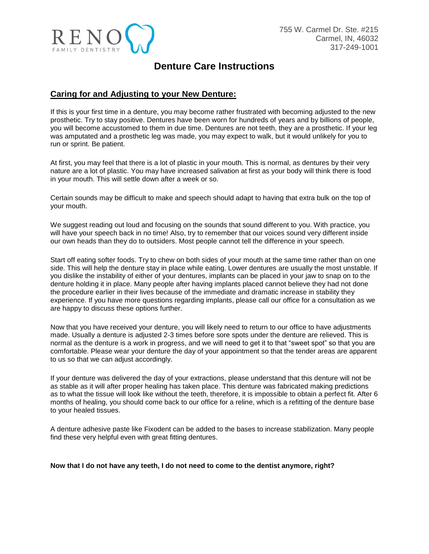

# **Denture Care Instructions**

### **Caring for and Adjusting to your New Denture:**

If this is your first time in a denture, you may become rather frustrated with becoming adjusted to the new prosthetic. Try to stay positive. Dentures have been worn for hundreds of years and by billions of people, you will become accustomed to them in due time. Dentures are not teeth, they are a prosthetic. If your leg was amputated and a prosthetic leg was made, you may expect to walk, but it would unlikely for you to run or sprint. Be patient.

At first, you may feel that there is a lot of plastic in your mouth. This is normal, as dentures by their very nature are a lot of plastic. You may have increased salivation at first as your body will think there is food in your mouth. This will settle down after a week or so.

Certain sounds may be difficult to make and speech should adapt to having that extra bulk on the top of your mouth.

We suggest reading out loud and focusing on the sounds that sound different to you. With practice, you will have your speech back in no time! Also, try to remember that our voices sound very different inside our own heads than they do to outsiders. Most people cannot tell the difference in your speech.

Start off eating softer foods. Try to chew on both sides of your mouth at the same time rather than on one side. This will help the denture stay in place while eating. Lower dentures are usually the most unstable. If you dislike the instability of either of your dentures, implants can be placed in your jaw to snap on to the denture holding it in place. Many people after having implants placed cannot believe they had not done the procedure earlier in their lives because of the immediate and dramatic increase in stability they experience. If you have more questions regarding implants, please call our office for a consultation as we are happy to discuss these options further.

Now that you have received your denture, you will likely need to return to our office to have adjustments made. Usually a denture is adjusted 2-3 times before sore spots under the denture are relieved. This is normal as the denture is a work in progress, and we will need to get it to that "sweet spot" so that you are comfortable. Please wear your denture the day of your appointment so that the tender areas are apparent to us so that we can adjust accordingly.

If your denture was delivered the day of your extractions, please understand that this denture will not be as stable as it will after proper healing has taken place. This denture was fabricated making predictions as to what the tissue will look like without the teeth, therefore, it is impossible to obtain a perfect fit. After 6 months of healing, you should come back to our office for a reline, which is a refitting of the denture base to your healed tissues.

A denture adhesive paste like Fixodent can be added to the bases to increase stabilization. Many people find these very helpful even with great fitting dentures.

#### **Now that I do not have any teeth, I do not need to come to the dentist anymore, right?**